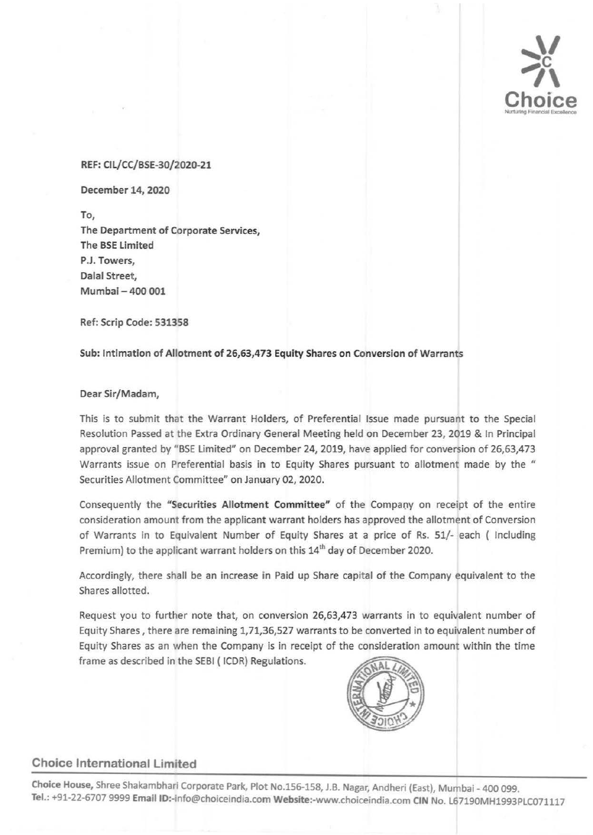

#### REF: CIL/CC/BSE-30/2020-21

December 14, 2020

To, The Department of Corporate Services, The BSE limited P.J. Towers, Dalal Street, Mumbai - 400 001

Ref: Scrip Code: 531358

Sub: Intimation of Allotment of 26,63,473 Equity Shares on Conversion of Warrants

#### Dear Sir/Madam,

This is to submit that the Warrant Holders, of Preferential Issue made pursuant to the Special Resolution Passed at the Extra Ordinary General Meeting held on December 23, 2019 & In Principal approval granted by "BSE Limited" on December 24, 2019, have applied for conversion of 26,63,473 Warrants issue on Preferential basis in to Equity Shares pursuant to allotment made by the " Securities Allotment Committee" on January 02, 2020.

Consequently the "Securities Allotment Committee" of the Company on receipt of the entire consideration amount from the applicant warrant holders has approved the allotment of Conversion of Warrants in to Equivalent Number of Equity Shares at a price of Rs. 51/- each ( Including Premium) to the applicant warrant holders on this 14<sup>th</sup> day of December 2020.

Accordingly, there shall be an increase in Paid up Share capital of the Company equivalent to the Shares allotted.

Request you to further note that, on conversion 26,63,473 warrants in to equivalent number of Equity Shares, there are remaining 1,71,36,527 warrants to be converted in to equivalent number of Equity Shares as an when the Company is in receipt of the consideration amount within the time frame as described in the SEBI ( ICDR) Regulations.



# Choice International Limited

Choice House, Shree Shakambhari Corporate Park, Plot No.156-158, J.B. Nagar, Andheri (East), Mumbai- 400 099. Tel.: +91-22-6707 9999 Email ID:-info@choiceindia.com Website:-www.choiceindia.com CIN No. L67190MH1993PLC071117